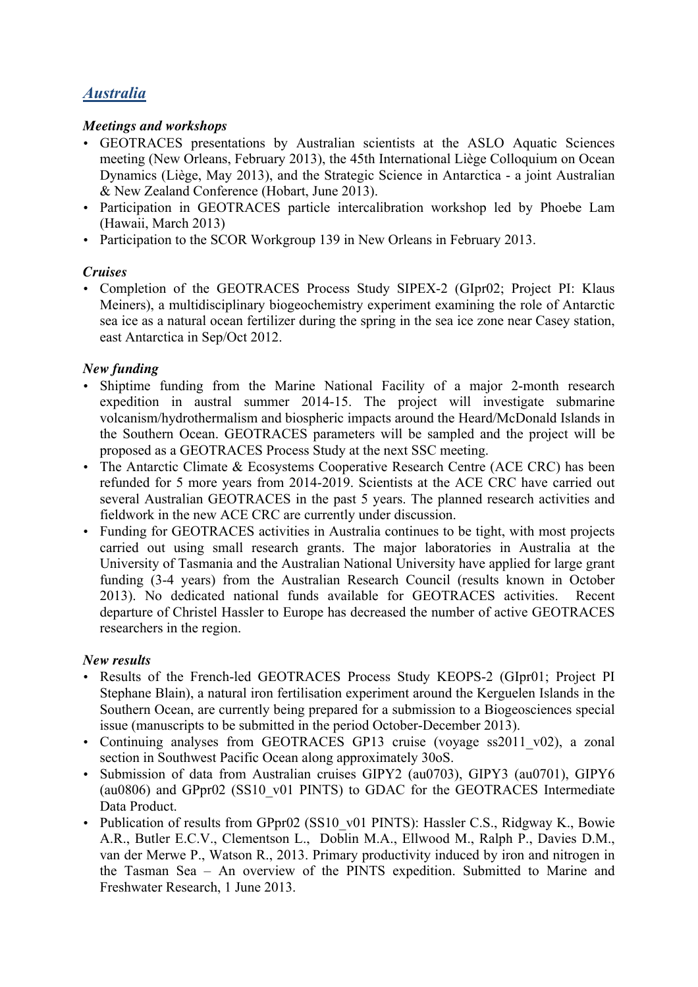# *Australia*

## *Meetings and workshops*

- GEOTRACES presentations by Australian scientists at the ASLO Aquatic Sciences meeting (New Orleans, February 2013), the 45th International Liège Colloquium on Ocean Dynamics (Liège, May 2013), and the Strategic Science in Antarctica - a joint Australian & New Zealand Conference (Hobart, June 2013).
- Participation in GEOTRACES particle intercalibration workshop led by Phoebe Lam (Hawaii, March 2013)
- Participation to the SCOR Workgroup 139 in New Orleans in February 2013.

#### *Cruises*

• Completion of the GEOTRACES Process Study SIPEX-2 (GIpr02; Project PI: Klaus Meiners), a multidisciplinary biogeochemistry experiment examining the role of Antarctic sea ice as a natural ocean fertilizer during the spring in the sea ice zone near Casey station, east Antarctica in Sep/Oct 2012.

## *New funding*

- Shiptime funding from the Marine National Facility of a major 2-month research expedition in austral summer 2014-15. The project will investigate submarine volcanism/hydrothermalism and biospheric impacts around the Heard/McDonald Islands in the Southern Ocean. GEOTRACES parameters will be sampled and the project will be proposed as a GEOTRACES Process Study at the next SSC meeting.
- The Antarctic Climate & Ecosystems Cooperative Research Centre (ACE CRC) has been refunded for 5 more years from 2014-2019. Scientists at the ACE CRC have carried out several Australian GEOTRACES in the past 5 years. The planned research activities and fieldwork in the new ACE CRC are currently under discussion.
- Funding for GEOTRACES activities in Australia continues to be tight, with most projects carried out using small research grants. The major laboratories in Australia at the University of Tasmania and the Australian National University have applied for large grant funding (3-4 years) from the Australian Research Council (results known in October 2013). No dedicated national funds available for GEOTRACES activities. Recent departure of Christel Hassler to Europe has decreased the number of active GEOTRACES researchers in the region.

## *New results*

- Results of the French-led GEOTRACES Process Study KEOPS-2 (GIpr01; Project PI Stephane Blain), a natural iron fertilisation experiment around the Kerguelen Islands in the Southern Ocean, are currently being prepared for a submission to a Biogeosciences special issue (manuscripts to be submitted in the period October-December 2013).
- Continuing analyses from GEOTRACES GP13 cruise (voyage ss2011 v02), a zonal section in Southwest Pacific Ocean along approximately 30oS.
- Submission of data from Australian cruises GIPY2 (au0703), GIPY3 (au0701), GIPY6 (au0806) and GPpr02 (SS10\_v01 PINTS) to GDAC for the GEOTRACES Intermediate Data Product.
- Publication of results from GPpr02 (SS10 v01 PINTS): Hassler C.S., Ridgway K., Bowie A.R., Butler E.C.V., Clementson L., Doblin M.A., Ellwood M., Ralph P., Davies D.M., van der Merwe P., Watson R., 2013. Primary productivity induced by iron and nitrogen in the Tasman Sea – An overview of the PINTS expedition. Submitted to Marine and Freshwater Research, 1 June 2013.